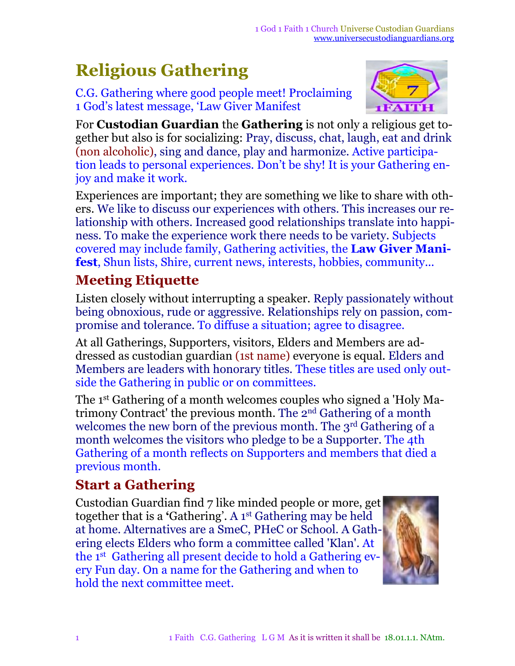# **Religious Gathering**

C.G. Gathering where good people meet! Proclaiming 1 God's latest message, 'Law Giver Manifest



For **Custodian Guardian** the **Gathering** is not only a religious get together but also is for socializing: Pray, discuss, chat, laugh, eat and drink (non alcoholic), sing and dance, play and harmonize. Active participation leads to personal experiences. Don't be shy! It is your Gathering enjoy and make it work.

Experiences are important; they are something we like to share with others. We like to discuss our experiences with others. This increases our relationship with others. Increased good relationships translate into happiness. To make the experience work there needs to be variety. Subjects covered may include family, Gathering activities, the **Law Giver Manifest**, Shun lists, Shire, current news, interests, hobbies, community...

#### **Meeting Etiquette**

Listen closely without interrupting a speaker. Reply passionately without being obnoxious, rude or aggressive. Relationships rely on passion, compromise and tolerance. To diffuse a situation; agree to disagree.

At all Gatherings, Supporters, visitors, Elders and Members are addressed as custodian guardian (1st name) everyone is equal*.* Elders and Members are leaders with honorary titles. These titles are used only outside the Gathering in public or on committees.

The 1<sup>st</sup> Gathering of a month welcomes couples who signed a 'Holy Matrimony Contract' the previous month. The 2<sup>nd</sup> Gathering of a month welcomes the new born of the previous month. The 3<sup>rd</sup> Gathering of a month welcomes the visitors who pledge to be a Supporter. The 4th Gathering of a month reflects on Supporters and members that died a previous month.

#### **Start a Gathering**

Custodian Guardian find 7 like minded people or more, get together that is a **'**Gathering'. A 1 st Gathering may be held at home. Alternatives are a SmeC, PHeC or School. A Gathering elects Elders who form a committee called 'Klan'. At the 1 st Gathering all present decide to hold a Gathering every Fun day. On a name for the Gathering and when to hold the next committee meet.

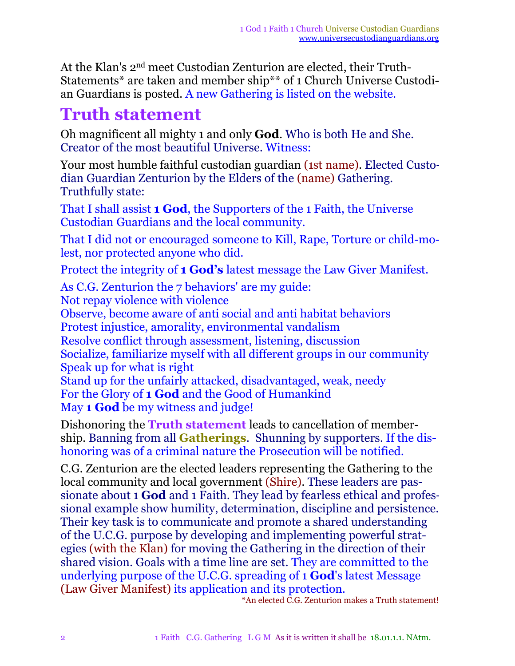At the Klan's 2<sup>nd</sup> meet Custodian Zenturion are elected, their Truth-Statements\* are taken and member ship\*\* of 1 Church Universe Custodian Guardians is posted. A new Gathering is listed on the website.

## **Truth statement**

Oh magnificent all mighty 1 and only **God**. Who is both He and She. Creator of the most beautiful Universe. Witness:

Your most humble faithful custodian guardian (1st name). Elected Custodian Guardian Zenturion by the Elders of the (name) Gathering. Truthfully state:

That I shall assist **1 God**, the Supporters of the 1 Faith, the Universe Custodian Guardians and the local community.

That I did not or encouraged someone to Kill, Rape, Torture or child-molest, nor protected anyone who did.

Protect the integrity of **1 God's** latest message the Law Giver Manifest.

As C.G. Zenturion the 7 behaviors' are my guide: Not repay violence with violence Observe, become aware of anti social and anti habitat behaviors Protest injustice, amorality, environmental vandalism Resolve conflict through assessment, listening, discussion Socialize, familiarize myself with all different groups in our community Speak up for what is right Stand up for the unfairly attacked, disadvantaged, weak, needy For the Glory of **1 God** and the Good of Humankind May **1 God** be my witness and judge!

Dishonoring the **Truth statement** leads to cancellation of membership. Banning from all **Gatherings**. Shunning by supporters. If the dishonoring was of a criminal nature the Prosecution will be notified.

C.G. Zenturion are the elected leaders representing the Gathering to the local community and local government (Shire). These leaders are passionate about 1 **God** and 1 Faith. They lead by fearless ethical and professional example show humility, determination, discipline and persistence. Their key task is to communicate and promote a shared understanding of the U.C.G. purpose by developing and implementing powerful strategies (with the Klan) for moving the Gathering in the direction of their shared vision. Goals with a time line are set. They are committed to the underlying purpose of the U.C.G. spreading of 1 **God**'s latest Message (Law Giver Manifest) its application and its protection.

\*An elected C.G. Zenturion makes a Truth statement!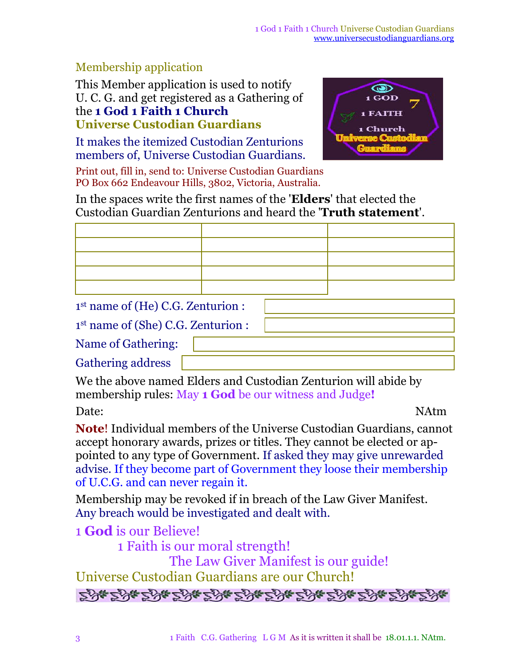#### Membership application

This Member application is used to notify U. C. G. and get registered as a Gathering of the **1 God 1 Faith 1 Church Universe Custodian Guardians**

It makes the itemized Custodian Zenturions members of, Universe Custodian Guardians.



Print out, fill in, send to: Universe Custodian Guardians PO Box 662 Endeavour Hills, 3802, Victoria, Australia.

In the spaces write the first names of the '**Elders**' that elected the Custodian Guardian Zenturions and heard the '**Truth statement**'.

1 st name of (He) C.G. Zenturion :

1 st name of (She) C.G. Zenturion :

Name of Gathering:

Gathering address

We the above named Elders and Custodian Zenturion will abide by membership rules: May **1 God** be our witness and Judge**!**

Date: NAtm

**Note**! Individual members of the Universe Custodian Guardians, cannot accept honorary awards, prizes or titles. They cannot be elected or appointed to any type of Government. If asked they may give unrewarded advise. If they become part of Government they loose their membership of U.C.G. and can never regain it.

Membership may be revoked if in breach of the Law Giver Manifest. Any breach would be investigated and dealt with.

1 **God** is our Believe!

1 Faith is our moral strength!

The Law Giver Manifest is our guide! Universe Custodian Guardians are our Church!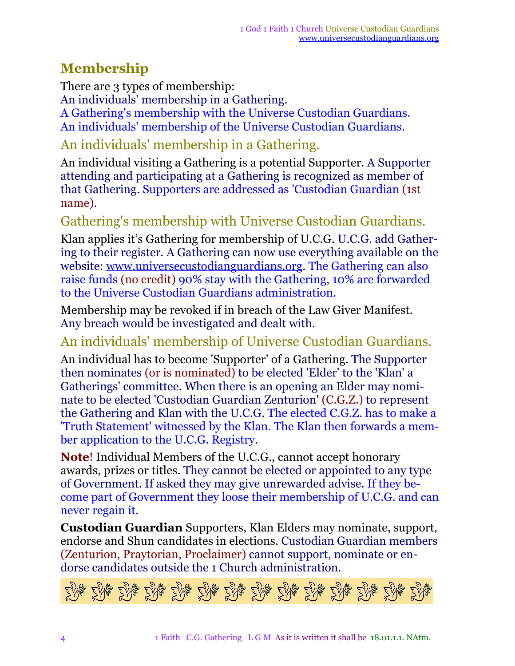#### **Membership**

There are 3 types of membership:

An individuals' membership in a Gathering.

A Gathering's membership with the Universe Custodian Guardians. An individuals' membership of the Universe Custodian Guardians.

### An individuals' membership in a Gathering.

An individual visiting a Gathering is a potential Supporter. A Supporter attending and participating at a Gathering is recognized as member of that Gathering. Supporters are addressed as 'Custodian Guardian (1st name).

#### Gathering's membership with Universe Custodian Guardians.

Klan applies it's Gathering for membership of U.C.G. U.C.G. add Gathering to their register. A Gathering can now use everything available on the website: [www.universecustodianguardians.org.](http://www.universecustodianguardians.org) The Gathering can also raise funds (no credit) 90% stay with the Gathering, 10% are forwarded to the Universe Custodian Guardians administration.

Membership may be revoked if in breach of the Law Giver Manifest. Any breach would be investigated and dealt with.

An individuals' membership of Universe Custodian Guardians.

An individual has to become 'Supporter' of a Gathering. The Supporter then nominates (or is nominated) to be elected 'Elder' to the 'Klan' a Gatherings' committee. When there is an opening an Elder may nominate to be elected 'Custodian Guardian Zenturion' (C.G.Z.) to represent the Gathering and Klan with the U.C.G. The elected C.G.Z. has to make a 'Truth Statement' witnessed by the Klan. The Klan then forwards a member application to the U.C.G. Registry.

**Note**! Individual Members of the U.C.G., cannot accept honorary awards, prizes or titles. They cannot be elected or appointed to any type of Government. If asked they may give unrewarded advise. If they become part of Government they loose their membership of U.C.G. and can never regain it.

**Custodian Guardian** Supporters, Klan Elders may nominate, support, endorse and Shun candidates in elections. Custodian Guardian members (Zenturion, Praytorian, Proclaimer) cannot support, nominate or endorse candidates outside the 1 Church administration.

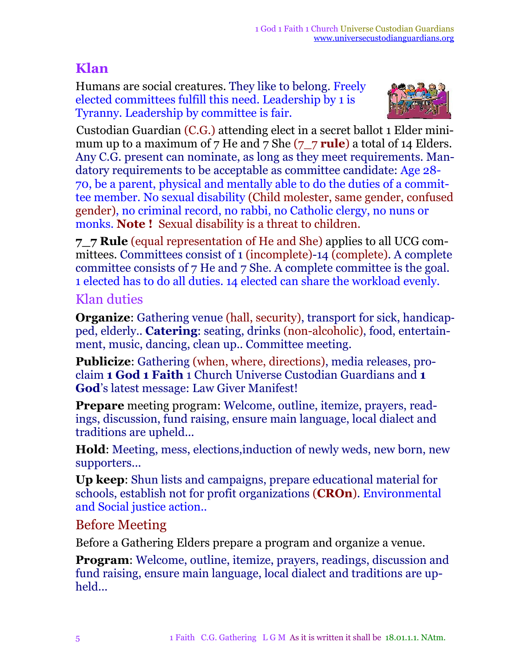#### **Klan**

Humans are social creatures. They like to belong. Freely elected committees fulfill this need. Leadership by 1 is Tyranny. Leadership by committee is fair.



Custodian Guardian (C.G.) attending elect in a secret ballot 1 Elder minimum up to a maximum of 7 He and 7 She (7\_7 **rule**) a total of 14 Elders. Any C.G. present can nominate, as long as they meet requirements. Mandatory requirements to be acceptable as committee candidate: Age 28- 70, be a parent, physical and mentally able to do the duties of a committee member. No sexual disability (Child molester, same gender, confused gender), no criminal record, no rabbi, no Catholic clergy, no nuns or monks. **Note !** Sexual disability is a threat to children.

**7\_7 Rule** (equal representation of He and She) applies to all UCG committees. Committees consist of 1 (incomplete)-14 (complete). A complete committee consists of 7 He and 7 She. A complete committee is the goal. 1 elected has to do all duties. 14 elected can share the workload evenly.

#### Klan duties

**Organize**: Gathering venue (hall, security), transport for sick, handicapped, elderly.. **Catering**: seating, drinks (non-alcoholic), food, entertainment, music, dancing, clean up.. Committee meeting.

**Publicize**: Gathering (when, where, directions), media releases, proclaim **1 God 1 Faith** 1 Church Universe Custodian Guardians and **1 God**'s latest message: Law Giver Manifest!

**Prepare** meeting program: Welcome, outline, itemize, prayers, readings, discussion, fund raising, ensure main language, local dialect and traditions are upheld...

**Hold**: Meeting, mess, elections,induction of newly weds, new born, new supporters...

**Up keep**: Shun lists and campaigns, prepare educational material for schools, establish not for profit organizations (**CROn**). Environmental and Social justice action..

#### Before Meeting

Before a Gathering Elders prepare a program and organize a venue.

**Program:** Welcome, outline, itemize, prayers, readings, discussion and fund raising, ensure main language, local dialect and traditions are upheld...